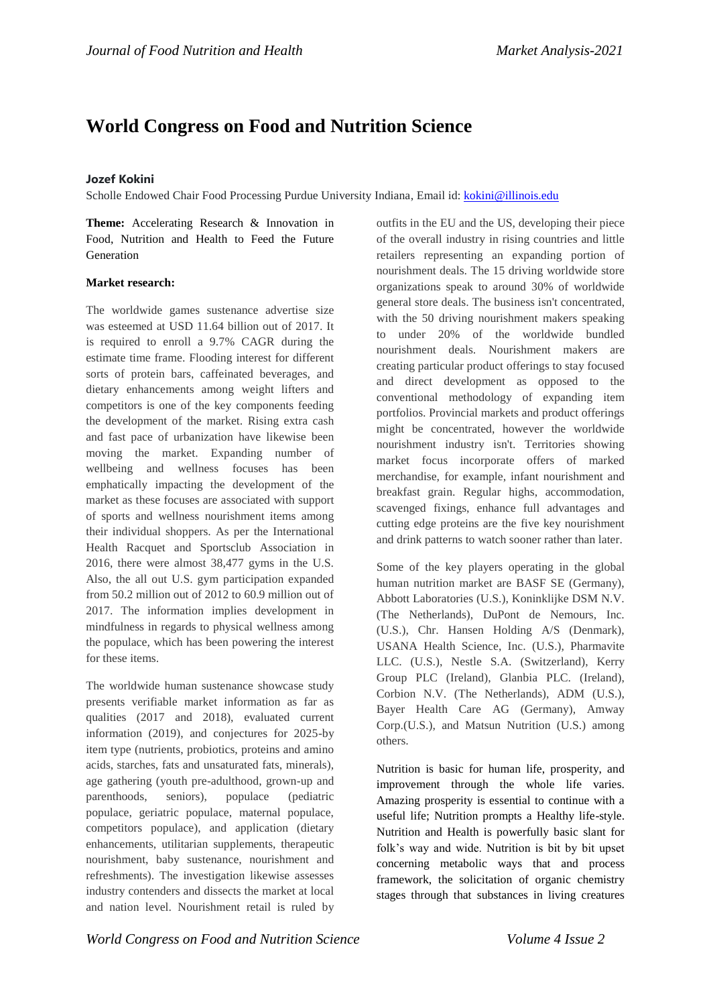# **[World Congress on Food and Nutrition Science](http://euro-obesity.alliedacademies.com/)**

# **Jozef Kokini**

Scholle Endowed Chair Food Processing Purdue University Indiana, Email id:<kokini@illinois.edu>

**Theme:** Accelerating Research & Innovation in Food, Nutrition and Health to Feed the Future Generation

## **Market research:**

The worldwide games sustenance advertise size was esteemed at USD 11.64 billion out of 2017. It is required to enroll a 9.7% CAGR during the estimate time frame. Flooding interest for different sorts of protein bars, caffeinated beverages, and dietary enhancements among weight lifters and competitors is one of the key components feeding the development of the market. Rising extra cash and fast pace of urbanization have likewise been moving the market. Expanding number of wellbeing and wellness focuses has been emphatically impacting the development of the market as these focuses are associated with support of sports and wellness nourishment items among their individual shoppers. As per the International Health Racquet and Sportsclub Association in 2016, there were almost 38,477 gyms in the U.S. Also, the all out U.S. gym participation expanded from 50.2 million out of 2012 to 60.9 million out of 2017. The information implies development in mindfulness in regards to physical wellness among the populace, which has been powering the interest for these items.

The worldwide human sustenance showcase study presents verifiable market information as far as qualities (2017 and 2018), evaluated current information (2019), and conjectures for 2025-by item type (nutrients, probiotics, proteins and amino acids, starches, fats and unsaturated fats, minerals), age gathering (youth pre-adulthood, grown-up and parenthoods, seniors), populace (pediatric populace, geriatric populace, maternal populace, competitors populace), and application (dietary enhancements, utilitarian supplements, therapeutic nourishment, baby sustenance, nourishment and refreshments). The investigation likewise assesses industry contenders and dissects the market at local and nation level. Nourishment retail is ruled by

outfits in the EU and the US, developing their piece of the overall industry in rising countries and little retailers representing an expanding portion of nourishment deals. The 15 driving worldwide store organizations speak to around 30% of worldwide general store deals. The business isn't concentrated, with the 50 driving nourishment makers speaking to under 20% of the worldwide bundled nourishment deals. Nourishment makers are creating particular product offerings to stay focused and direct development as opposed to the conventional methodology of expanding item portfolios. Provincial markets and product offerings might be concentrated, however the worldwide nourishment industry isn't. Territories showing market focus incorporate offers of marked merchandise, for example, infant nourishment and breakfast grain. Regular highs, accommodation, scavenged fixings, enhance full advantages and cutting edge proteins are the five key nourishment and drink patterns to watch sooner rather than later.

Some of the key players operating in the global human nutrition market are BASF SE (Germany), Abbott Laboratories (U.S.), Koninklijke DSM N.V. (The Netherlands), DuPont de Nemours, Inc. (U.S.), Chr. Hansen Holding A/S (Denmark), USANA Health Science, Inc. (U.S.), Pharmavite LLC. (U.S.), Nestle S.A. (Switzerland), Kerry Group PLC (Ireland), Glanbia PLC. (Ireland), Corbion N.V. (The Netherlands), ADM (U.S.), Bayer Health Care AG (Germany), Amway Corp.(U.S.), and Matsun Nutrition (U.S.) among others.

Nutrition is basic for human life, prosperity, and improvement through the whole life varies. Amazing prosperity is essential to continue with a useful life; Nutrition prompts a Healthy life-style. Nutrition and Health is powerfully basic slant for folk's way and wide. Nutrition is bit by bit upset concerning metabolic ways that and process framework, the solicitation of organic chemistry stages through that substances in living creatures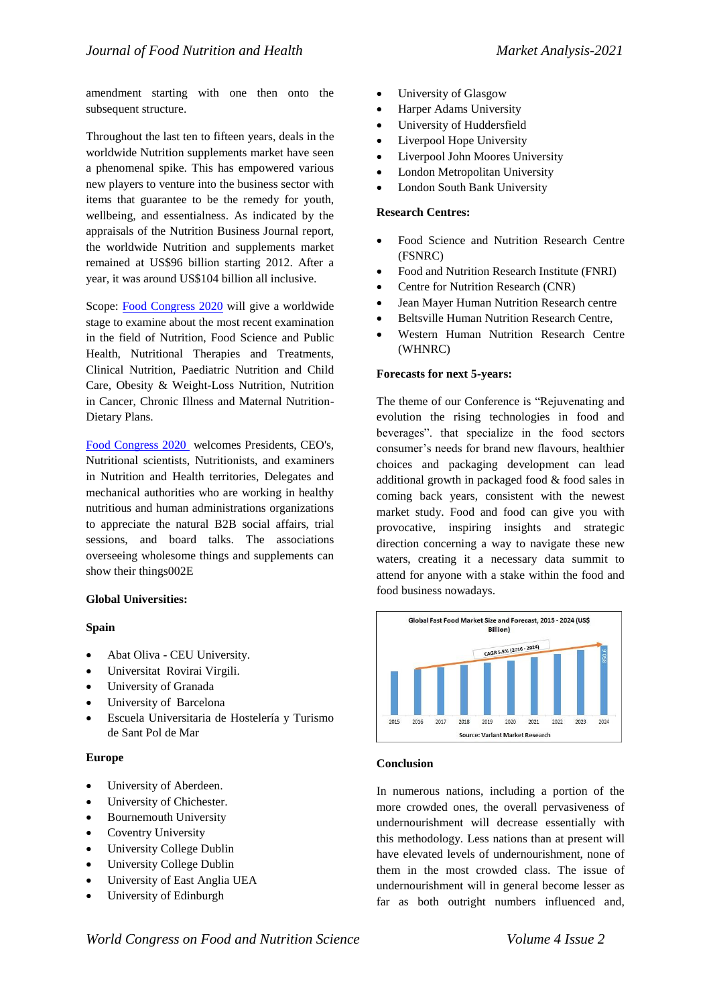amendment starting with one then onto the subsequent structure.

Throughout the last ten to fifteen years, deals in the worldwide Nutrition supplements market have seen a phenomenal spike. This has empowered various new players to venture into the business sector with items that guarantee to be the remedy for youth, wellbeing, and essentialness. As indicated by the appraisals of the Nutrition Business Journal report, the worldwide Nutrition and supplements market remained at US\$96 billion starting 2012. After a year, it was around US\$104 billion all inclusive.

Scope: [Food Congress 2020](https://foodcongress.conferenceseries.com/) will give a worldwide stage to examine about the most recent examination in the field of Nutrition, Food Science and Public Health, Nutritional Therapies and Treatments, Clinical Nutrition, Paediatric Nutrition and Child Care, Obesity & Weight-Loss Nutrition, Nutrition in Cancer, Chronic Illness and Maternal Nutrition-Dietary Plans.

[Food Congress](https://foodcongress.conferenceseries.com/) 2020 welcomes Presidents, CEO's, Nutritional scientists, Nutritionists, and examiners in Nutrition and Health territories, Delegates and mechanical authorities who are working in healthy nutritious and human administrations organizations to appreciate the natural B2B social affairs, trial sessions, and board talks. The associations overseeing wholesome things and supplements can show their things002E

#### **Global Universities:**

#### **Spain**

- Abat Oliva CEU University.
- Universitat Rovirai Virgili.
- University of Granada
- University of Barcelona
- Escuela Universitaria de Hostelería y Turismo de Sant Pol de Mar

#### **Europe**

- University of Aberdeen.
- University of Chichester.
- Bournemouth University
- Coventry University
- University College Dublin
- University College Dublin
- University of East Anglia UEA
- University of Edinburgh
- University of Glasgow
- Harper Adams University
- University of Huddersfield
- Liverpool Hope University
- Liverpool John Moores University
- London Metropolitan University
- London South Bank University

#### **Research Centres:**

- Food Science and Nutrition Research Centre (FSNRC)
- Food and Nutrition Research Institute (FNRI)
- Centre for Nutrition Research (CNR)
- Jean Mayer Human Nutrition Research centre
- Beltsville Human Nutrition Research Centre,
- Western Human Nutrition Research Centre (WHNRC)

#### **Forecasts for next 5-years:**

The theme of our Conference is "Rejuvenating and evolution the rising technologies in food and beverages". that specialize in the food sectors consumer's needs for brand new flavours, healthier choices and packaging development can lead additional growth in packaged food & food sales in coming back years, consistent with the newest market study. Food and food can give you with provocative, inspiring insights and strategic direction concerning a way to navigate these new waters, creating it a necessary data summit to attend for anyone with a stake within the food and food business nowadays.



#### **Conclusion**

In numerous nations, including a portion of the more crowded ones, the overall pervasiveness of undernourishment will decrease essentially with this methodology. Less nations than at present will have elevated levels of undernourishment, none of them in the most crowded class. The issue of undernourishment will in general become lesser as far as both outright numbers influenced and,